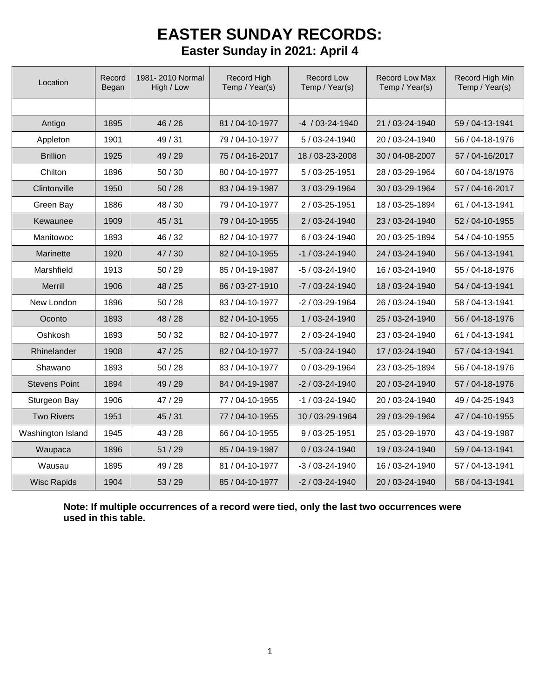## **EASTER SUNDAY RECORDS: Easter Sunday in 2021: April 4**

| Location             | Record<br>Began | 1981-2010 Normal<br>High / Low | <b>Record High</b><br>Temp / Year(s) | <b>Record Low</b><br>Temp / Year(s) | <b>Record Low Max</b><br>Temp / Year(s) | Record High Min<br>Temp / Year(s) |  |
|----------------------|-----------------|--------------------------------|--------------------------------------|-------------------------------------|-----------------------------------------|-----------------------------------|--|
|                      |                 |                                |                                      |                                     |                                         |                                   |  |
| Antigo               | 1895            | 46 / 26                        | 81 / 04-10-1977                      | $-4$ / 03-24-1940                   | 21 / 03-24-1940                         | 59 / 04-13-1941                   |  |
| Appleton             | 1901            | 49/31                          | 79 / 04-10-1977                      | 5/03-24-1940                        | 20 / 03-24-1940                         | 56 / 04-18-1976                   |  |
| <b>Brillion</b>      | 1925            | 49 / 29                        | 75 / 04-16-2017                      | 18 / 03-23-2008                     | 30 / 04-08-2007                         | 57 / 04-16/2017                   |  |
| Chilton              | 1896            | 50 / 30                        | 80 / 04-10-1977                      | 5 / 03-25-1951                      | 28 / 03-29-1964                         | 60 / 04-18/1976                   |  |
| Clintonville         | 1950            | 50/28                          | 83 / 04-19-1987                      | 3 / 03-29-1964                      | 30 / 03-29-1964                         | 57 / 04-16-2017                   |  |
| Green Bay            | 1886            | 48/30                          | 79 / 04-10-1977                      | 2/03-25-1951                        | 18 / 03-25-1894                         | 61 / 04-13-1941                   |  |
| Kewaunee             | 1909            | 45/31                          | 79 / 04-10-1955                      | 2 / 03-24-1940                      | 23 / 03-24-1940                         | 52 / 04-10-1955                   |  |
| Manitowoc            | 1893            | 46 / 32                        | 82 / 04-10-1977                      | 6/03-24-1940                        | 20 / 03-25-1894                         | 54 / 04-10-1955                   |  |
| Marinette            | 1920            | 47/30                          | 82 / 04-10-1955                      | $-1/03 - 24 - 1940$                 | 24 / 03-24-1940                         | 56 / 04-13-1941                   |  |
| Marshfield           | 1913            | 50/29                          | 85 / 04-19-1987                      | -5 / 03-24-1940                     | 16 / 03-24-1940                         | 55 / 04-18-1976                   |  |
| Merrill              | 1906            | 48 / 25                        | 86 / 03-27-1910                      | $-7/03 - 24 - 1940$                 | 18 / 03-24-1940                         | 54 / 04-13-1941                   |  |
| New London           | 1896            | 50/28                          | 83 / 04-10-1977                      | $-2/03 - 29 - 1964$                 | 26 / 03-24-1940                         | 58 / 04-13-1941                   |  |
| Oconto               | 1893            | 48 / 28                        | 82 / 04-10-1955                      | 1 / 03-24-1940                      | 25 / 03-24-1940                         | 56 / 04-18-1976                   |  |
| Oshkosh              | 1893            | 50/32                          | 82 / 04-10-1977                      | 2 / 03-24-1940                      | 23 / 03-24-1940                         | 61 / 04-13-1941                   |  |
| Rhinelander          | 1908            | 47/25                          | 82 / 04-10-1977                      | $-5/03 - 24 - 1940$                 | 17 / 03-24-1940                         | 57 / 04-13-1941                   |  |
| Shawano              | 1893            | 50/28                          | 83 / 04-10-1977                      | 0 / 03-29-1964                      | 23 / 03-25-1894                         | 56 / 04-18-1976                   |  |
| <b>Stevens Point</b> | 1894            | 49 / 29                        | 84 / 04-19-1987                      | $-2/03 - 24 - 1940$                 | 20 / 03-24-1940                         | 57 / 04-18-1976                   |  |
| Sturgeon Bay         | 1906            | 47 / 29                        | 77 / 04-10-1955                      | -1 / 03-24-1940                     | 20 / 03-24-1940                         | 49 / 04-25-1943                   |  |
| <b>Two Rivers</b>    | 1951            | 45 / 31                        | 77 / 04-10-1955                      | 10 / 03-29-1964                     | 29 / 03-29-1964                         | 47 / 04-10-1955                   |  |
| Washington Island    | 1945            | 43 / 28                        | 66 / 04-10-1955                      | 9 / 03-25-1951                      | 25 / 03-29-1970                         | 43 / 04-19-1987                   |  |
| Waupaca              | 1896            | 51/29                          | 85 / 04-19-1987                      | $0/03 - 24 - 1940$                  | 19 / 03-24-1940                         | 59 / 04-13-1941                   |  |
| Wausau               | 1895            | 49 / 28                        | 81 / 04-10-1977                      | $-3/03 - 24 - 1940$                 | 16 / 03-24-1940                         | 57 / 04-13-1941                   |  |
| <b>Wisc Rapids</b>   | 1904            | 53/29                          | 85 / 04-10-1977                      | $-2/03 - 24 - 1940$                 | 20 / 03-24-1940                         | 58 / 04-13-1941                   |  |

**Note: If multiple occurrences of a record were tied, only the last two occurrences were used in this table.**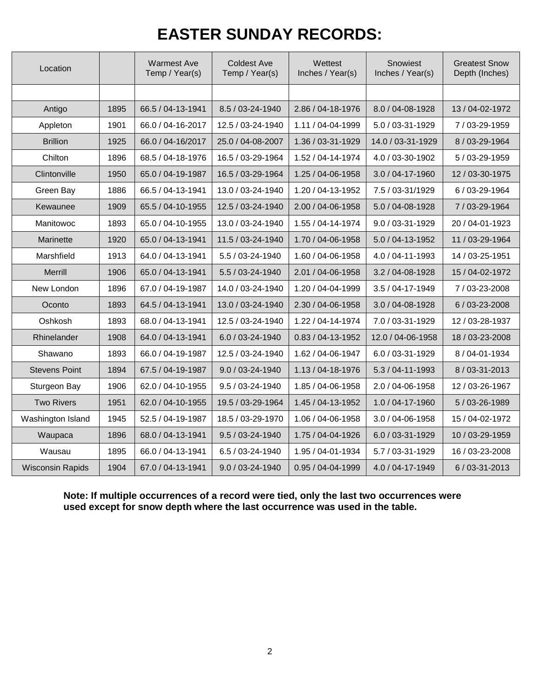# **EASTER SUNDAY RECORDS:**

| Location                |      | <b>Warmest Ave</b><br>Temp / Year(s) | <b>Coldest Ave</b><br>Temp / Year(s) | Wettest<br>Inches / Year(s) | Snowiest<br>Inches / Year(s) | <b>Greatest Snow</b><br>Depth (Inches) |  |
|-------------------------|------|--------------------------------------|--------------------------------------|-----------------------------|------------------------------|----------------------------------------|--|
|                         |      |                                      |                                      |                             |                              |                                        |  |
| Antigo                  | 1895 | 66.5 / 04-13-1941                    | 8.5 / 03-24-1940                     | 2.86 / 04-18-1976           | 8.0 / 04-08-1928             | 13 / 04-02-1972                        |  |
| Appleton                | 1901 | 66.0 / 04-16-2017                    | 12.5 / 03-24-1940                    | 1.11 / 04-04-1999           | 5.0 / 03-31-1929             | 7/03-29-1959                           |  |
| <b>Brillion</b>         | 1925 | 66.0 / 04-16/2017                    | 25.0 / 04-08-2007                    | 1.36 / 03-31-1929           | 14.0 / 03-31-1929            | 8 / 03-29-1964                         |  |
| Chilton                 | 1896 | 68.5 / 04-18-1976                    | 16.5 / 03-29-1964                    | 1.52 / 04-14-1974           | 4.0 / 03-30-1902             | 5 / 03-29-1959                         |  |
| Clintonville            | 1950 | 65.0 / 04-19-1987                    | 16.5 / 03-29-1964                    | 1.25 / 04-06-1958           | 3.0 / 04-17-1960             | 12 / 03-30-1975                        |  |
| Green Bay               | 1886 | 66.5 / 04-13-1941                    | 13.0 / 03-24-1940                    | 1.20 / 04-13-1952           | 7.5 / 03-31/1929             | 6 / 03-29-1964                         |  |
| Kewaunee                | 1909 | 65.5 / 04-10-1955                    | 12.5 / 03-24-1940                    | 2.00 / 04-06-1958           | 5.0 / 04-08-1928             | 7/03-29-1964                           |  |
| Manitowoc               | 1893 | 65.0 / 04-10-1955                    | 13.0 / 03-24-1940                    | 1.55 / 04-14-1974           | 9.0 / 03-31-1929             | 20 / 04-01-1923                        |  |
| Marinette               | 1920 | 65.0 / 04-13-1941                    | 11.5 / 03-24-1940                    | 1.70 / 04-06-1958           | 5.0 / 04-13-1952             | 11 / 03-29-1964                        |  |
| Marshfield              | 1913 | 64.0 / 04-13-1941                    | 5.5 / 03-24-1940                     | 1.60 / 04-06-1958           | 4.0 / 04-11-1993             | 14 / 03-25-1951                        |  |
| Merrill                 | 1906 | 65.0 / 04-13-1941                    | 5.5 / 03-24-1940                     | 2.01 / 04-06-1958           | 3.2 / 04-08-1928             | 15 / 04-02-1972                        |  |
| New London              | 1896 | 67.0 / 04-19-1987                    | 14.0 / 03-24-1940                    | 1.20 / 04-04-1999           | 3.5 / 04-17-1949             | 7/03-23-2008                           |  |
| Oconto                  | 1893 | 64.5 / 04-13-1941                    | 13.0 / 03-24-1940                    | 2.30 / 04-06-1958           | 3.0 / 04-08-1928             | 6 / 03-23-2008                         |  |
| Oshkosh                 | 1893 | 68.0 / 04-13-1941                    | 12.5 / 03-24-1940                    | 1.22 / 04-14-1974           | 7.0 / 03-31-1929             | 12 / 03-28-1937                        |  |
| Rhinelander             | 1908 | 64.0 / 04-13-1941                    | 6.0 / 03-24-1940                     | $0.83 / 04 - 13 - 1952$     | 12.0 / 04-06-1958            | 18 / 03-23-2008                        |  |
| Shawano                 | 1893 | 66.0 / 04-19-1987                    | 12.5 / 03-24-1940                    | 1.62 / 04-06-1947           | 6.0 / 03-31-1929             | 8 / 04-01-1934                         |  |
| <b>Stevens Point</b>    | 1894 | 67.5 / 04-19-1987                    | 9.0 / 03-24-1940                     | 1.13 / 04-18-1976           | $5.3 / 04 - 11 - 1993$       | 8/03-31-2013                           |  |
| Sturgeon Bay            | 1906 | 62.0 / 04-10-1955                    | 9.5 / 03-24-1940                     | 1.85 / 04-06-1958           | 2.0 / 04-06-1958             | 12 / 03-26-1967                        |  |
| <b>Two Rivers</b>       | 1951 | 62.0 / 04-10-1955                    | 19.5 / 03-29-1964                    | 1.45 / 04-13-1952           | 1.0 / 04-17-1960             | 5/03-26-1989                           |  |
| Washington Island       | 1945 | 52.5 / 04-19-1987                    | 18.5 / 03-29-1970                    | 1.06 / 04-06-1958           | 3.0 / 04-06-1958             | 15 / 04-02-1972                        |  |
| Waupaca                 | 1896 | 68.0 / 04-13-1941                    | 9.5 / 03-24-1940                     | 1.75 / 04-04-1926           | 6.0 / 03-31-1929             | 10 / 03-29-1959                        |  |
| Wausau                  | 1895 | 66.0 / 04-13-1941                    | 6.5 / 03-24-1940                     | 1.95 / 04-01-1934           | 5.7 / 03-31-1929             | 16 / 03-23-2008                        |  |
| <b>Wisconsin Rapids</b> | 1904 | 67.0 / 04-13-1941                    | 9.0 / 03-24-1940                     | 0.95 / 04-04-1999           | 4.0 / 04-17-1949             | 6/03-31-2013                           |  |

#### **Note: If multiple occurrences of a record were tied, only the last two occurrences were used except for snow depth where the last occurrence was used in the table.**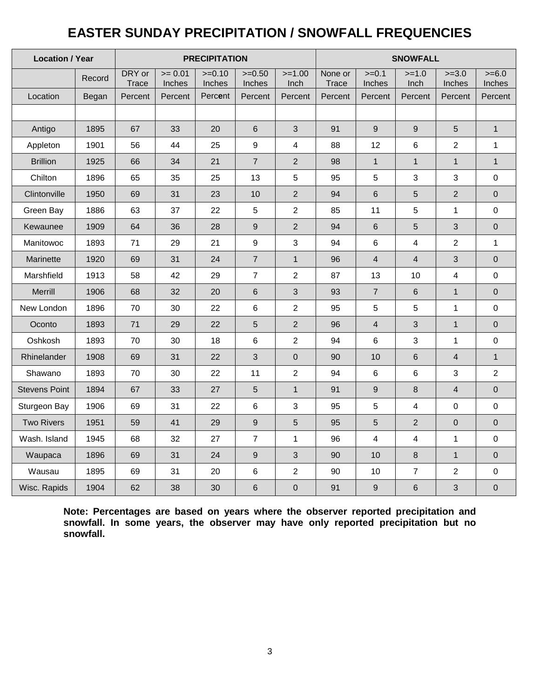## **EASTER SUNDAY PRECIPITATION / SNOWFALL FREQUENCIES**

| <b>Location / Year</b> |        | <b>PRECIPITATION</b> |                    |                    |                    |                  | <b>SNOWFALL</b>  |                         |                         |                   |                    |
|------------------------|--------|----------------------|--------------------|--------------------|--------------------|------------------|------------------|-------------------------|-------------------------|-------------------|--------------------|
|                        | Record | DRY or<br>Trace      | $= 0.01$<br>Inches | $>=0.10$<br>Inches | $>=0.50$<br>Inches | $>=1.00$<br>Inch | None or<br>Trace | $>=0.1$<br>Inches       | $>=1.0$<br>Inch         | $>=3.0$<br>Inches | $>= 6.0$<br>Inches |
| Location               | Began  | Percent              | Percent            | Percent            | Percent            | Percent          | Percent          | Percent                 | Percent                 | Percent           | Percent            |
|                        |        |                      |                    |                    |                    |                  |                  |                         |                         |                   |                    |
| Antigo                 | 1895   | 67                   | 33                 | 20                 | $\,6$              | 3                | 91               | 9                       | $\overline{9}$          | 5                 | $\mathbf{1}$       |
| Appleton               | 1901   | 56                   | 44                 | 25                 | 9                  | 4                | 88               | 12                      | 6                       | $\overline{2}$    | $\mathbf{1}$       |
| <b>Brillion</b>        | 1925   | 66                   | 34                 | 21                 | $\overline{7}$     | $\overline{2}$   | 98               | $\mathbf{1}$            | $\mathbf{1}$            | $\mathbf{1}$      | $\mathbf{1}$       |
| Chilton                | 1896   | 65                   | 35                 | 25                 | 13                 | 5                | 95               | 5                       | 3                       | 3                 | $\pmb{0}$          |
| Clintonville           | 1950   | 69                   | 31                 | 23                 | 10                 | $\overline{2}$   | 94               | 6                       | 5                       | $\overline{2}$    | $\boldsymbol{0}$   |
| Green Bay              | 1886   | 63                   | 37                 | 22                 | 5                  | $\overline{2}$   | 85               | 11                      | 5                       | $\mathbf{1}$      | $\mathbf 0$        |
| Kewaunee               | 1909   | 64                   | 36                 | 28                 | $\boldsymbol{9}$   | $\overline{2}$   | 94               | 6                       | 5                       | $\mathbf{3}$      | $\boldsymbol{0}$   |
| Manitowoc              | 1893   | 71                   | 29                 | 21                 | $\boldsymbol{9}$   | 3                | 94               | 6                       | $\overline{4}$          | $\overline{2}$    | $\mathbf{1}$       |
| Marinette              | 1920   | 69                   | 31                 | 24                 | $\overline{7}$     | $\mathbf{1}$     | 96               | $\overline{4}$          | $\overline{4}$          | 3                 | $\mathbf 0$        |
| Marshfield             | 1913   | 58                   | 42                 | 29                 | $\overline{7}$     | $\overline{c}$   | 87               | 13                      | 10                      | $\overline{4}$    | $\pmb{0}$          |
| Merrill                | 1906   | 68                   | 32                 | 20                 | $\,6$              | 3                | 93               | $\overline{7}$          | $\,6\,$                 | $\mathbf{1}$      | $\mathbf 0$        |
| New London             | 1896   | 70                   | 30                 | 22                 | $\,6\,$            | $\overline{c}$   | 95               | 5                       | 5                       | $\mathbf 1$       | 0                  |
| Oconto                 | 1893   | 71                   | 29                 | 22                 | 5                  | $\overline{2}$   | 96               | $\overline{\mathbf{4}}$ | 3                       | $\mathbf{1}$      | $\mathbf 0$        |
| Oshkosh                | 1893   | 70                   | 30                 | 18                 | 6                  | $\overline{c}$   | 94               | 6                       | $\mathfrak{S}$          | $\mathbf{1}$      | $\mathbf 0$        |
| Rhinelander            | 1908   | 69                   | 31                 | 22                 | 3                  | $\mathbf 0$      | 90               | 10                      | $\,6\,$                 | $\overline{4}$    | $\mathbf{1}$       |
| Shawano                | 1893   | 70                   | 30                 | 22                 | 11                 | $\overline{c}$   | 94               | 6                       | 6                       | 3                 | $\overline{2}$     |
| <b>Stevens Point</b>   | 1894   | 67                   | 33                 | 27                 | 5                  | $\mathbf{1}$     | 91               | $\mathsf g$             | $\,8\,$                 | $\overline{4}$    | $\pmb{0}$          |
| Sturgeon Bay           | 1906   | 69                   | 31                 | 22                 | 6                  | 3                | 95               | 5                       | $\overline{\mathbf{4}}$ | $\pmb{0}$         | $\pmb{0}$          |
| <b>Two Rivers</b>      | 1951   | 59                   | 41                 | 29                 | $\boldsymbol{9}$   | 5                | 95               | 5                       | $\sqrt{2}$              | $\pmb{0}$         | $\pmb{0}$          |
| Wash. Island           | 1945   | 68                   | 32                 | 27                 | $\overline{7}$     | $\mathbf{1}$     | 96               | 4                       | $\overline{4}$          | $\mathbf{1}$      | 0                  |
| Waupaca                | 1896   | 69                   | 31                 | 24                 | $\boldsymbol{9}$   | 3                | 90               | 10                      | 8                       | $\mathbf{1}$      | $\mathbf 0$        |
| Wausau                 | 1895   | 69                   | 31                 | 20                 | 6                  | $\overline{2}$   | 90               | 10                      | $\overline{7}$          | $\overline{2}$    | $\pmb{0}$          |
| Wisc. Rapids           | 1904   | 62                   | 38                 | 30                 | $\,$ 6 $\,$        | $\mathbf 0$      | 91               | $\mathsf g$             | $\,6\,$                 | $\mathbf{3}$      | $\mathbf 0$        |

**Note: Percentages are based on years where the observer reported precipitation and snowfall. In some years, the observer may have only reported precipitation but no snowfall.**